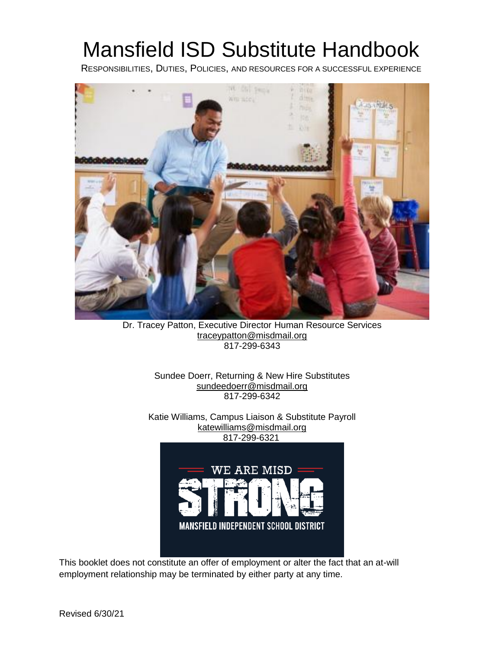# Mansfield ISD Substitute Handbook

RESPONSIBILITIES, DUTIES, POLICIES, AND RESOURCES FOR A SUCCESSFUL EXPERIENCE



Dr. Tracey Patton, Executive Director Human Resource Services traceypatton@misdmail.org 817-299-6343

Sundee Doerr, Returning & New Hire Substitutes sundeedoerr@misdmail.org 817-299-6342

Katie Williams, Campus Liaison & Substitute Payroll katewilliams@misdmail.org 817-299-6321



This booklet does not constitute an offer of employment or alter the fact that an at-will employment relationship may be terminated by either party at any time.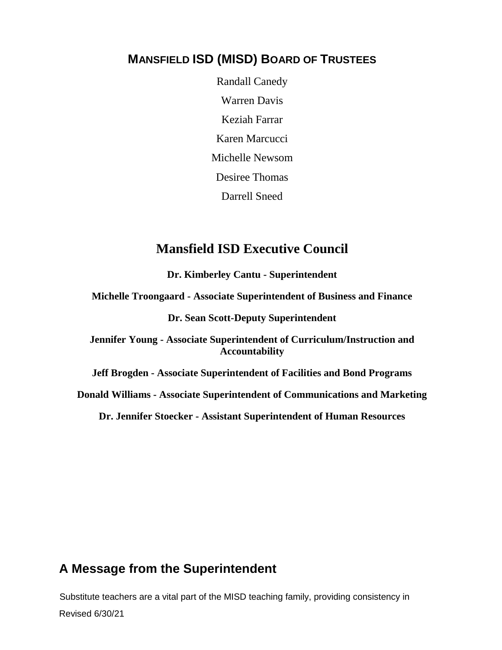#### **MANSFIELD ISD (MISD) BOARD OF TRUSTEES**

Randall Canedy Warren Davis Keziah Farrar Karen Marcucci Michelle Newsom Desiree Thomas Darrell Sneed

#### **Mansfield ISD Executive Council**

**Dr. Kimberley Cantu - Superintendent**

**Michelle Troongaard - Associate Superintendent of Business and Finance**

**Dr. Sean Scott-Deputy Superintendent**

**Jennifer Young - Associate Superintendent of Curriculum/Instruction and Accountability**

**Jeff Brogden - Associate Superintendent of Facilities and Bond Programs**

**Donald Williams - Associate Superintendent of Communications and Marketing**

**Dr. Jennifer Stoecker - Assistant Superintendent of Human Resources**

#### **A Message from the Superintendent**

Substitute teachers are a vital part of the MISD teaching family, providing consistency in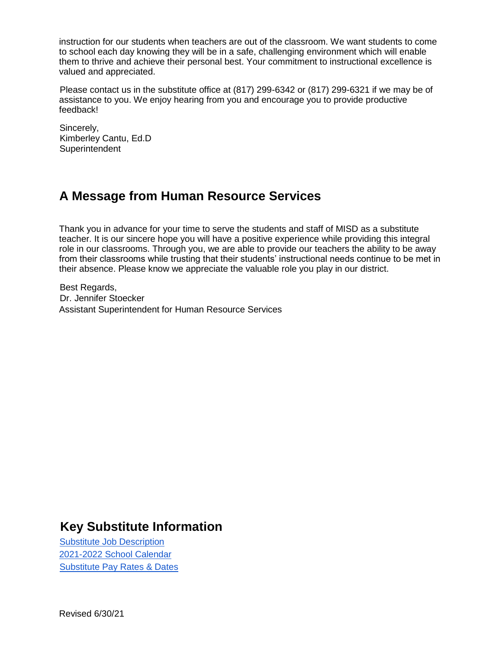instruction for our students when teachers are out of the classroom. We want students to come to school each day knowing they will be in a safe, challenging environment which will enable them to thrive and achieve their personal best. Your commitment to instructional excellence is valued and appreciated.

Please contact us in the substitute office at (817) 299-6342 or (817) 299-6321 if we may be of assistance to you. We enjoy hearing from you and encourage you to provide productive feedback!

Sincerely, Kimberley Cantu, Ed.D **Superintendent** 

# **A Message from Human Resource Services**

Thank you in advance for your time to serve the students and staff of MISD as a substitute teacher. It is our sincere hope you will have a positive experience while providing this integral role in our classrooms. Through you, we are able to provide our teachers the ability to be away from their classrooms while trusting that their students' instructional needs continue to be met in their absence. Please know we appreciate the valuable role you play in our district.

Best Regards, Dr. Jennifer Stoecker Assistant Superintendent for Human Resource Services

# **Key Substitute Information**

[Substitute Job Description](https://www.mansfieldisd.org/departments/human-resources/employee-docs-forms/job-descriptions)  [2021-2022](https://resources.finalsite.net/images/v1612825067/mansfieldisd/grczo3pbfhlc5yeuifeb/Calendar2122.pdf) [School Calendar](https://resources.finalsite.net/images/v1612825067/mansfieldisd/grczo3pbfhlc5yeuifeb/Calendar2122.pdf) [Substitute Pay Rates & Dates](https://www.mansfieldisd.org/join-misd/substitute-teaching/compensation)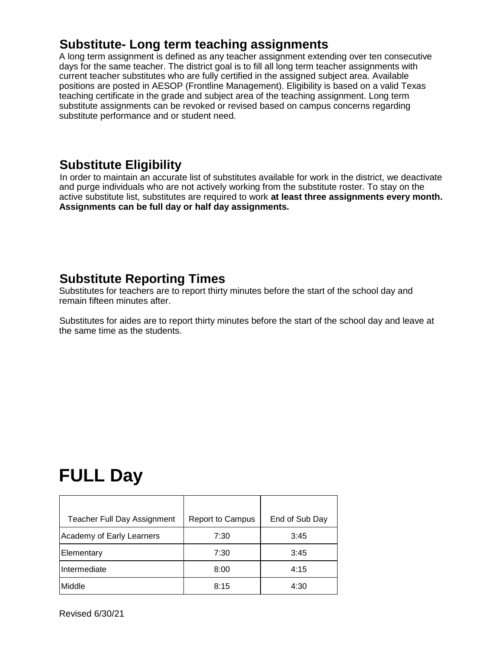# **Substitute- Long term teaching assignments**

A long term assignment is defined as any teacher assignment extending over ten consecutive days for the same teacher. The district goal is to fill all long term teacher assignments with current teacher substitutes who are fully certified in the assigned subject area. Available positions are posted in AESOP (Frontline Management). Eligibility is based on a valid Texas teaching certificate in the grade and subject area of the teaching assignment. Long term substitute assignments can be revoked or revised based on campus concerns regarding substitute performance and or student need.

# **Substitute Eligibility**

In order to maintain an accurate list of substitutes available for work in the district, we deactivate and purge individuals who are not actively working from the substitute roster. To stay on the active substitute list, substitutes are required to work **at least three assignments every month. Assignments can be full day or half day assignments.** 

# **Substitute Reporting Times**

Substitutes for teachers are to report thirty minutes before the start of the school day and remain fifteen minutes after.

Substitutes for aides are to report thirty minutes before the start of the school day and leave at the same time as the students.

# **FULL Day**

| <b>Teacher Full Day Assignment</b> | <b>Report to Campus</b> | End of Sub Day |
|------------------------------------|-------------------------|----------------|
| Academy of Early Learners          | 7:30                    | 3:45           |
| Elementary                         | 7:30                    | 3:45           |
| Intermediate                       | 8:00                    | 4:15           |
| Middle                             | 8:15                    | 4:30           |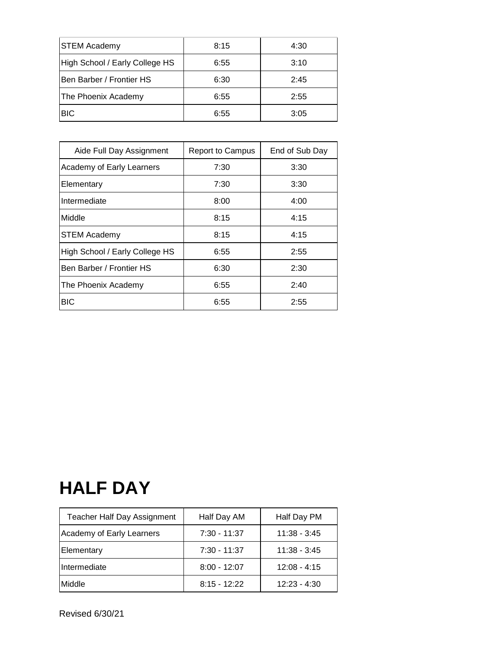| <b>STEM Academy</b>            | 8:15 | 4:30 |
|--------------------------------|------|------|
| High School / Early College HS | 6:55 | 3:10 |
| Ben Barber / Frontier HS       | 6:30 | 2:45 |
| The Phoenix Academy            | 6:55 | 2:55 |
| <b>BIC</b>                     | 6:55 | 3:05 |

| Aide Full Day Assignment       | <b>Report to Campus</b> | End of Sub Day |
|--------------------------------|-------------------------|----------------|
| Academy of Early Learners      | 7:30                    | 3:30           |
| Elementary                     | 7:30                    | 3:30           |
| Intermediate                   | 8:00                    | 4:00           |
| Middle                         | 8:15                    | 4:15           |
| <b>STEM Academy</b>            | 8:15                    | 4:15           |
| High School / Early College HS | 6:55                    | 2:55           |
| Ben Barber / Frontier HS       | 6:30                    | 2:30           |
| The Phoenix Academy            | 6:55                    | 2:40           |
| <b>BIC</b>                     | 6:55                    | 2:55           |

# **HALF DAY**

| Teacher Half Day Assignment | Half Day AM    | Half Day PM    |
|-----------------------------|----------------|----------------|
| Academy of Early Learners   | $7:30 - 11:37$ | $11:38 - 3:45$ |
| Elementary                  | 7:30 - 11:37   | $11:38 - 3:45$ |
| Intermediate                | $8:00 - 12:07$ | $12:08 - 4:15$ |
| Middle                      | $8:15 - 12:22$ | $12:23 - 4:30$ |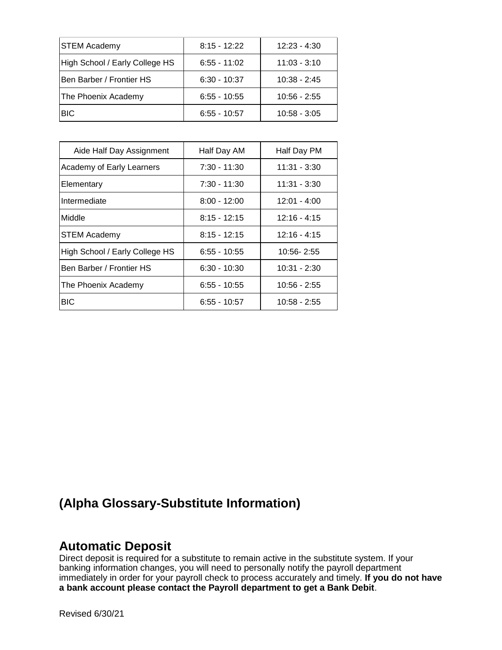| <b>STEM Academy</b>            | $8:15 - 12:22$ | $12:23 - 4:30$ |
|--------------------------------|----------------|----------------|
| High School / Early College HS | $6:55 - 11:02$ | $11:03 - 3:10$ |
| Ben Barber / Frontier HS       | $6:30 - 10:37$ | $10:38 - 2:45$ |
| The Phoenix Academy            | $6:55 - 10:55$ | $10:56 - 2:55$ |
| <b>BIC</b>                     | $6:55 - 10:57$ | $10:58 - 3:05$ |

| Aide Half Day Assignment       | Half Day AM    | Half Day PM    |
|--------------------------------|----------------|----------------|
| Academy of Early Learners      | $7:30 - 11:30$ | $11:31 - 3:30$ |
| Elementary                     | 7:30 - 11:30   | 11:31 - 3:30   |
| Intermediate                   | $8:00 - 12:00$ | $12:01 - 4:00$ |
| Middle                         | $8:15 - 12:15$ | $12:16 - 4:15$ |
| <b>STEM Academy</b>            | $8:15 - 12:15$ | $12:16 - 4:15$ |
| High School / Early College HS | $6:55 - 10:55$ | 10:56-2:55     |
| Ben Barber / Frontier HS       | $6:30 - 10:30$ | $10:31 - 2:30$ |
| The Phoenix Academy            | $6:55 - 10:55$ | $10:56 - 2:55$ |
| <b>BIC</b>                     | $6:55 - 10:57$ | 10:58 - 2:55   |

# **(Alpha Glossary-Substitute Information)**

#### **Automatic Deposit**

Direct deposit is required for a substitute to remain active in the substitute system. If your banking information changes, you will need to personally notify the payroll department immediately in order for your payroll check to process accurately and timely. **If you do not have a bank account please contact the Payroll department to get a Bank Debit**.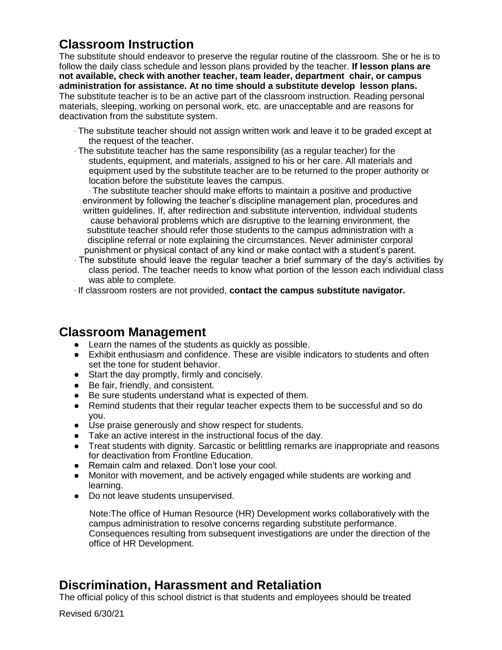# **Classroom Instruction**

The substitute should endeavor to preserve the regular routine of the classroom. She or he is to follow the daily class schedule and lesson plans provided by the teacher. **If lesson plans are not available, check with another teacher, team leader, department chair, or campus administration for assistance. At no time should a substitute develop lesson plans.**  The substitute teacher is to be an active part of the classroom instruction. Reading personal materials, sleeping, working on personal work, etc. are unacceptable and are reasons for deactivation from the substitute system.

- ∙ The substitute teacher should not assign written work and leave it to be graded except at the request of the teacher.
- ∙ The substitute teacher has the same responsibility (as a regular teacher) for the students, equipment, and materials, assigned to his or her care. All materials and equipment used by the substitute teacher are to be returned to the proper authority or location before the substitute leaves the campus.

∙ The substitute teacher should make efforts to maintain a positive and productive environment by following the teacher's discipline management plan, procedures and written guidelines. If, after redirection and substitute intervention, individual students cause behavioral problems which are disruptive to the learning environment, the substitute teacher should refer those students to the campus administration with a discipline referral or note explaining the circumstances. Never administer corporal punishment or physical contact of any kind or make contact with a student's parent.

∙ The substitute should leave the regular teacher a brief summary of the day's activities by class period. The teacher needs to know what portion of the lesson each individual class was able to complete.

∙ If classroom rosters are not provided, **contact the campus substitute navigator.**

#### **Classroom Management**

- Learn the names of the students as quickly as possible.
- Exhibit enthusiasm and confidence. These are visible indicators to students and often set the tone for student behavior.
- Start the day promptly, firmly and concisely.
- Be fair, friendly, and consistent.
- Be sure students understand what is expected of them.
- Remind students that their regular teacher expects them to be successful and so do you.
- Use praise generously and show respect for students.
- Take an active interest in the instructional focus of the day.
- Treat students with dignity. Sarcastic or belittling remarks are inappropriate and reasons for deactivation from Frontline Education.
- Remain calm and relaxed. Don't lose your cool.
- Monitor with movement, and be actively engaged while students are working and learning.
- Do not leave students unsupervised.

Note:The office of Human Resource (HR) Development works collaboratively with the campus administration to resolve concerns regarding substitute performance. Consequences resulting from subsequent investigations are under the direction of the office of HR Development.

## **Discrimination, Harassment and Retaliation**

The official policy of this school district is that students and employees should be treated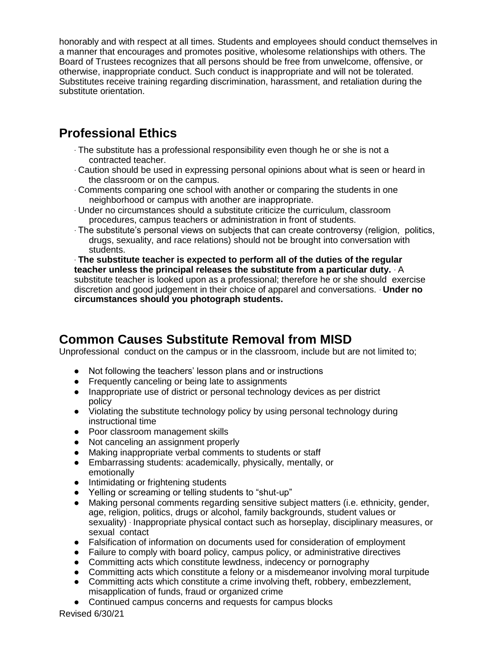honorably and with respect at all times. Students and employees should conduct themselves in a manner that encourages and promotes positive, wholesome relationships with others. The Board of Trustees recognizes that all persons should be free from unwelcome, offensive, or otherwise, inappropriate conduct. Such conduct is inappropriate and will not be tolerated. Substitutes receive training regarding discrimination, harassment, and retaliation during the substitute orientation.

# **Professional Ethics**

- ∙ The substitute has a professional responsibility even though he or she is not a contracted teacher.
- ∙ Caution should be used in expressing personal opinions about what is seen or heard in the classroom or on the campus.
- ∙ Comments comparing one school with another or comparing the students in one neighborhood or campus with another are inappropriate.
- ∙ Under no circumstances should a substitute criticize the curriculum, classroom procedures, campus teachers or administration in front of students.
- ∙ The substitute's personal views on subjects that can create controversy (religion, politics, drugs, sexuality, and race relations) should not be brought into conversation with students.

∙ **The substitute teacher is expected to perform all of the duties of the regular teacher unless the principal releases the substitute from a particular duty.** ∙ A substitute teacher is looked upon as a professional; therefore he or she should exercise discretion and good judgement in their choice of apparel and conversations. ∙ **Under no circumstances should you photograph students.** 

# **Common Causes Substitute Removal from MISD**

Unprofessional conduct on the campus or in the classroom, include but are not limited to;

- Not following the teachers' lesson plans and or instructions
- Frequently canceling or being late to assignments
- Inappropriate use of district or personal technology devices as per district policy
- Violating the substitute technology policy by using personal technology during instructional time
- Poor classroom management skills
- Not canceling an assignment properly
- Making inappropriate verbal comments to students or staff
- Embarrassing students: academically, physically, mentally, or emotionally
- Intimidating or frightening students
- Yelling or screaming or telling students to "shut-up"
- Making personal comments regarding sensitive subject matters (i.e. ethnicity, gender, age, religion, politics, drugs or alcohol, family backgrounds, student values or sexuality) ∙ Inappropriate physical contact such as horseplay, disciplinary measures, or sexual contact
- Falsification of information on documents used for consideration of employment
- Failure to comply with board policy, campus policy, or administrative directives
- Committing acts which constitute lewdness, indecency or pornography
- Committing acts which constitute a felony or a misdemeanor involving moral turpitude
- Committing acts which constitute a crime involving theft, robbery, embezzlement, misapplication of funds, fraud or organized crime
- Continued campus concerns and requests for campus blocks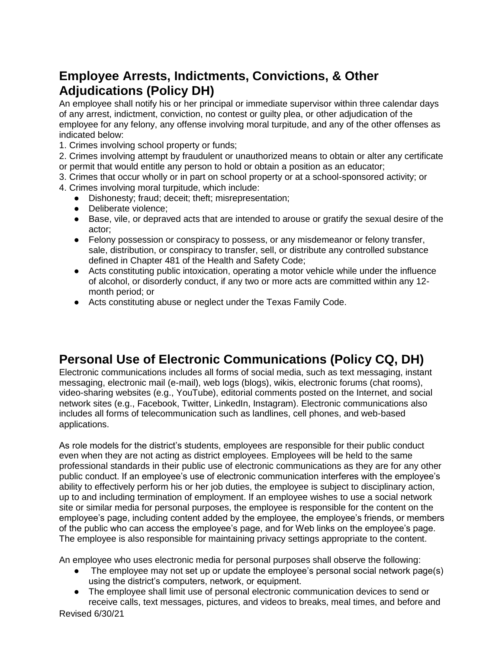# **Employee Arrests, Indictments, Convictions, & Other Adjudications (Policy DH)**

An employee shall notify his or her principal or immediate supervisor within three calendar days of any arrest, indictment, conviction, no contest or guilty plea, or other adjudication of the employee for any felony, any offense involving moral turpitude, and any of the other offenses as indicated below:

1. Crimes involving school property or funds;

2. Crimes involving attempt by fraudulent or unauthorized means to obtain or alter any certificate or permit that would entitle any person to hold or obtain a position as an educator;

- 3. Crimes that occur wholly or in part on school property or at a school-sponsored activity; or
- 4. Crimes involving moral turpitude, which include:
	- Dishonesty; fraud; deceit; theft; misrepresentation;
	- Deliberate violence;
	- Base, vile, or depraved acts that are intended to arouse or gratify the sexual desire of the actor;
	- Felony possession or conspiracy to possess, or any misdemeanor or felony transfer, sale, distribution, or conspiracy to transfer, sell, or distribute any controlled substance defined in Chapter 481 of the Health and Safety Code;
	- Acts constituting public intoxication, operating a motor vehicle while under the influence of alcohol, or disorderly conduct, if any two or more acts are committed within any 12 month period; or
	- Acts constituting abuse or neglect under the Texas Family Code.

# **Personal Use of Electronic Communications (Policy CQ, DH)**

Electronic communications includes all forms of social media, such as text messaging, instant messaging, electronic mail (e-mail), web logs (blogs), wikis, electronic forums (chat rooms), video-sharing websites (e.g., YouTube), editorial comments posted on the Internet, and social network sites (e.g., Facebook, Twitter, LinkedIn, Instagram). Electronic communications also includes all forms of telecommunication such as landlines, cell phones, and web-based applications.

As role models for the district's students, employees are responsible for their public conduct even when they are not acting as district employees. Employees will be held to the same professional standards in their public use of electronic communications as they are for any other public conduct. If an employee's use of electronic communication interferes with the employee's ability to effectively perform his or her job duties, the employee is subject to disciplinary action, up to and including termination of employment. If an employee wishes to use a social network site or similar media for personal purposes, the employee is responsible for the content on the employee's page, including content added by the employee, the employee's friends, or members of the public who can access the employee's page, and for Web links on the employee's page. The employee is also responsible for maintaining privacy settings appropriate to the content.

An employee who uses electronic media for personal purposes shall observe the following:

- The employee may not set up or update the employee's personal social network page(s) using the district's computers, network, or equipment.
- The employee shall limit use of personal electronic communication devices to send or receive calls, text messages, pictures, and videos to breaks, meal times, and before and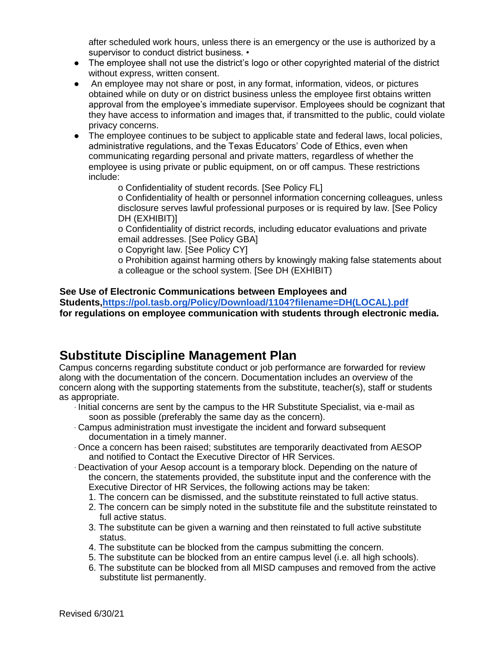after scheduled work hours, unless there is an emergency or the use is authorized by a supervisor to conduct district business. •

- The employee shall not use the district's logo or other copyrighted material of the district without express, written consent.
- An employee may not share or post, in any format, information, videos, or pictures obtained while on duty or on district business unless the employee first obtains written approval from the employee's immediate supervisor. Employees should be cognizant that they have access to information and images that, if transmitted to the public, could violate privacy concerns.
- The employee continues to be subject to applicable state and federal laws, local policies, administrative regulations, and the Texas Educators' Code of Ethics, even when communicating regarding personal and private matters, regardless of whether the employee is using private or public equipment, on or off campus. These restrictions include:

o Confidentiality of student records. [See Policy FL]

o Confidentiality of health or personnel information concerning colleagues, unless disclosure serves lawful professional purposes or is required by law. [See Policy DH (EXHIBIT)]

o Confidentiality of district records, including educator evaluations and private email addresses. [See Policy GBA]

o Copyright law. [See Policy CY]

o Prohibition against harming others by knowingly making false statements about a colleague or the school system. [See DH (EXHIBIT)

#### **See Use of Electronic Communications between Employees and**

**Students[,https://pol.tasb.org/Policy/Download/1104?filename=DH\(LOCAL\).pdf](https://pol.tasb.org/Policy/Download/1104?filename=DH(LOCAL).pdf) for regulations on employee communication with students through electronic media.**

#### **Substitute Discipline Management Plan**

Campus concerns regarding substitute conduct or job performance are forwarded for review along with the documentation of the concern. Documentation includes an overview of the concern along with the supporting statements from the substitute, teacher(s), staff or students as appropriate.

- ∙ Initial concerns are sent by the campus to the HR Substitute Specialist, via e-mail as soon as possible (preferably the same day as the concern).
- ∙ Campus administration must investigate the incident and forward subsequent documentation in a timely manner.
- ∙ Once a concern has been raised; substitutes are temporarily deactivated from AESOP and notified to Contact the Executive Director of HR Services.
- ∙ Deactivation of your Aesop account is a temporary block. Depending on the nature of the concern, the statements provided, the substitute input and the conference with the Executive Director of HR Services, the following actions may be taken:
	- 1. The concern can be dismissed, and the substitute reinstated to full active status.
	- 2. The concern can be simply noted in the substitute file and the substitute reinstated to full active status.
	- 3. The substitute can be given a warning and then reinstated to full active substitute status.
	- 4. The substitute can be blocked from the campus submitting the concern.
	- 5. The substitute can be blocked from an entire campus level (i.e. all high schools).
	- 6. The substitute can be blocked from all MISD campuses and removed from the active substitute list permanently.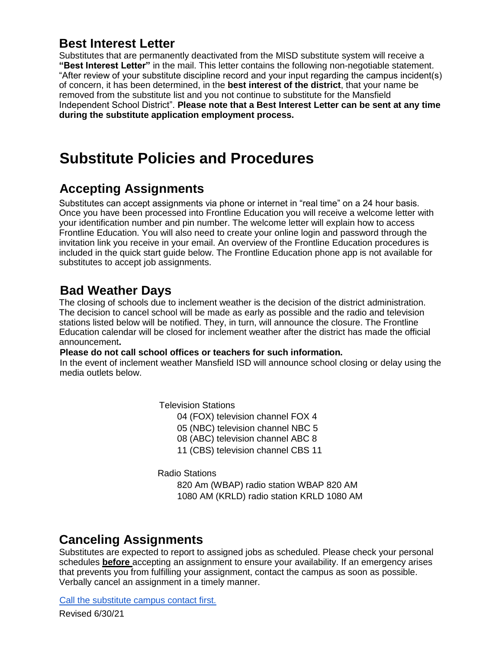## **Best Interest Letter**

Substitutes that are permanently deactivated from the MISD substitute system will receive a **"Best Interest Letter"** in the mail. This letter contains the following non-negotiable statement. "After review of your substitute discipline record and your input regarding the campus incident(s) of concern, it has been determined, in the **best interest of the district**, that your name be removed from the substitute list and you not continue to substitute for the Mansfield Independent School District". **Please note that a Best Interest Letter can be sent at any time during the substitute application employment process.**

# **Substitute Policies and Procedures**

# **Accepting Assignments**

Substitutes can accept assignments via phone or internet in "real time" on a 24 hour basis. Once you have been processed into Frontline Education you will receive a welcome letter with your identification number and pin number. The welcome letter will explain how to access Frontline Education. You will also need to create your online login and password through the invitation link you receive in your email. An overview of the Frontline Education procedures is included in the quick start guide below. The Frontline Education phone app is not available for substitutes to accept job assignments.

# **Bad Weather Days**

The closing of schools due to inclement weather is the decision of the district administration. The decision to cancel school will be made as early as possible and the radio and television stations listed below will be notified. They, in turn, will announce the closure. The Frontline Education calendar will be closed for inclement weather after the district has made the official announcement**.** 

#### **Please do not call school offices or teachers for such information.**

In the event of inclement weather Mansfield ISD will announce school closing or delay using the media outlets below.

Television Stations

04 (FOX) television channel FOX 4

05 (NBC) television channel NBC 5

08 (ABC) television channel ABC 8

11 (CBS) television channel CBS 11

Radio Stations

820 Am (WBAP) radio station WBAP 820 AM 1080 AM (KRLD) radio station KRLD 1080 AM

## **Canceling Assignments**

Substitutes are expected to report to assigned jobs as scheduled. Please check your personal schedules **before** accepting an assignment to ensure your availability. If an emergency arises that prevents you from fulfilling your assignment, contact the campus as soon as possible. Verbally cancel an assignment in a timely manner.

[Call the substitute campus contact first.](https://drive.google.com/drive/folders/1ZYxelUzsunuiWU3WfcUoT-iPFHQz8xH7?usp=sharing)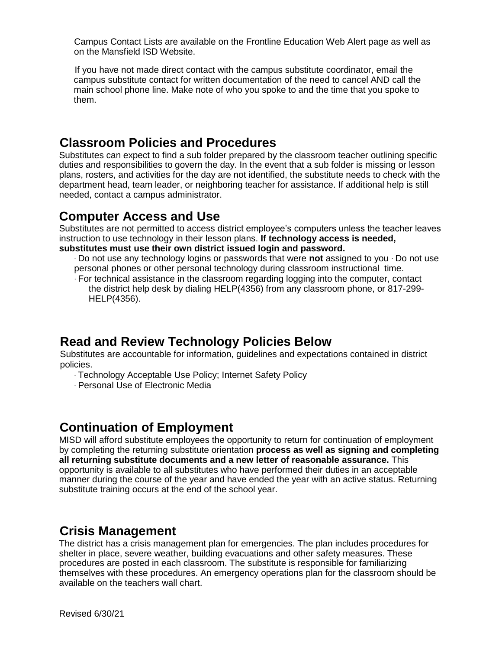Campus Contact Lists are available on the Frontline Education Web Alert page as well as on the Mansfield ISD Website.

If you have not made direct contact with the campus substitute coordinator, email the campus substitute contact for written documentation of the need to cancel AND call the main school phone line. Make note of who you spoke to and the time that you spoke to them.

#### **Classroom Policies and Procedures**

Substitutes can expect to find a sub folder prepared by the classroom teacher outlining specific duties and responsibilities to govern the day. In the event that a sub folder is missing or lesson plans, rosters, and activities for the day are not identified, the substitute needs to check with the department head, team leader, or neighboring teacher for assistance. If additional help is still needed, contact a campus administrator.

#### **Computer Access and Use**

Substitutes are not permitted to access district employee's computers unless the teacher leaves instruction to use technology in their lesson plans. **If technology access is needed, substitutes must use their own district issued login and password.** 

∙ Do not use any technology logins or passwords that were **not** assigned to you ∙ Do not use personal phones or other personal technology during classroom instructional time.

∙ For technical assistance in the classroom regarding logging into the computer, contact the district help desk by dialing HELP(4356) from any classroom phone, or 817-299- HELP(4356).

#### **Read and Review Technology Policies Below**

Substitutes are accountable for information, guidelines and expectations contained in district policies.

- ∙ Technology Acceptable Use Policy; Internet Safety Policy
- ∙ Personal Use of Electronic Media

#### **Continuation of Employment**

MISD will afford substitute employees the opportunity to return for continuation of employment by completing the returning substitute orientation **process as well as signing and completing all returning substitute documents and a new letter of reasonable assurance.** This opportunity is available to all substitutes who have performed their duties in an acceptable manner during the course of the year and have ended the year with an active status. Returning substitute training occurs at the end of the school year.

#### **Crisis Management**

The district has a crisis management plan for emergencies. The plan includes procedures for shelter in place, severe weather, building evacuations and other safety measures. These procedures are posted in each classroom. The substitute is responsible for familiarizing themselves with these procedures. An emergency operations plan for the classroom should be available on the teachers wall chart.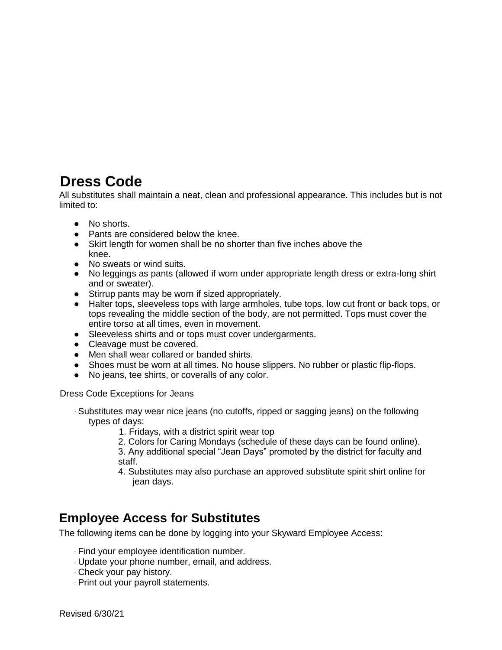# **Dress Code**

All substitutes shall maintain a neat, clean and professional appearance. This includes but is not limited to:

- No shorts.
- Pants are considered below the knee.
- Skirt length for women shall be no shorter than five inches above the knee.
- No sweats or wind suits.
- No leggings as pants (allowed if worn under appropriate length dress or extra-long shirt and or sweater).
- Stirrup pants may be worn if sized appropriately.
- Halter tops, sleeveless tops with large armholes, tube tops, low cut front or back tops, or tops revealing the middle section of the body, are not permitted. Tops must cover the entire torso at all times, even in movement.
- Sleeveless shirts and or tops must cover undergarments.
- Cleavage must be covered.
- Men shall wear collared or banded shirts.
- Shoes must be worn at all times. No house slippers. No rubber or plastic flip-flops.
- No jeans, tee shirts, or coveralls of any color.

Dress Code Exceptions for Jeans

- ∙ Substitutes may wear nice jeans (no cutoffs, ripped or sagging jeans) on the following types of days:
	- 1. Fridays, with a district spirit wear top
	- 2. Colors for Caring Mondays (schedule of these days can be found online).
	- 3. Any additional special "Jean Days" promoted by the district for faculty and staff.
	- 4. Substitutes may also purchase an approved substitute spirit shirt online for jean days.

#### **Employee Access for Substitutes**

The following items can be done by logging into your Skyward Employee Access:

- ∙ Find your employee identification number.
- ∙ Update your phone number, email, and address.
- ∙ Check your pay history.
- ∙ Print out your payroll statements.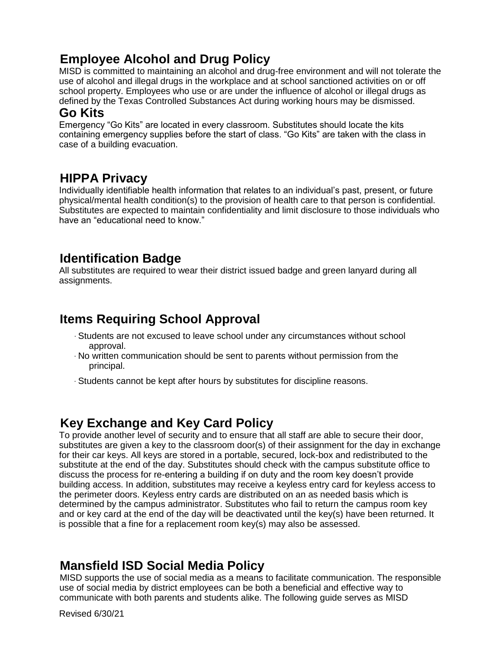# **Employee Alcohol and Drug Policy**

MISD is committed to maintaining an alcohol and drug-free environment and will not tolerate the use of alcohol and illegal drugs in the workplace and at school sanctioned activities on or off school property. Employees who use or are under the influence of alcohol or illegal drugs as defined by the Texas Controlled Substances Act during working hours may be dismissed.

#### **Go Kits**

Emergency "Go Kits" are located in every classroom. Substitutes should locate the kits containing emergency supplies before the start of class. "Go Kits" are taken with the class in case of a building evacuation.

## **HIPPA Privacy**

Individually identifiable health information that relates to an individual's past, present, or future physical/mental health condition(s) to the provision of health care to that person is confidential. Substitutes are expected to maintain confidentiality and limit disclosure to those individuals who have an "educational need to know."

## **Identification Badge**

All substitutes are required to wear their district issued badge and green lanyard during all assignments.

## **Items Requiring School Approval**

- ∙ Students are not excused to leave school under any circumstances without school approval.
- ∙ No written communication should be sent to parents without permission from the principal.
- ∙ Students cannot be kept after hours by substitutes for discipline reasons.

#### **Key Exchange and Key Card Policy**

To provide another level of security and to ensure that all staff are able to secure their door, substitutes are given a key to the classroom door(s) of their assignment for the day in exchange for their car keys. All keys are stored in a portable, secured, lock-box and redistributed to the substitute at the end of the day. Substitutes should check with the campus substitute office to discuss the process for re-entering a building if on duty and the room key doesn't provide building access. In addition, substitutes may receive a keyless entry card for keyless access to the perimeter doors. Keyless entry cards are distributed on an as needed basis which is determined by the campus administrator. Substitutes who fail to return the campus room key and or key card at the end of the day will be deactivated until the key(s) have been returned. It is possible that a fine for a replacement room key(s) may also be assessed.

## **Mansfield ISD Social Media Policy**

MISD supports the use of social media as a means to facilitate communication. The responsible use of social media by district employees can be both a beneficial and effective way to communicate with both parents and students alike. The following guide serves as MISD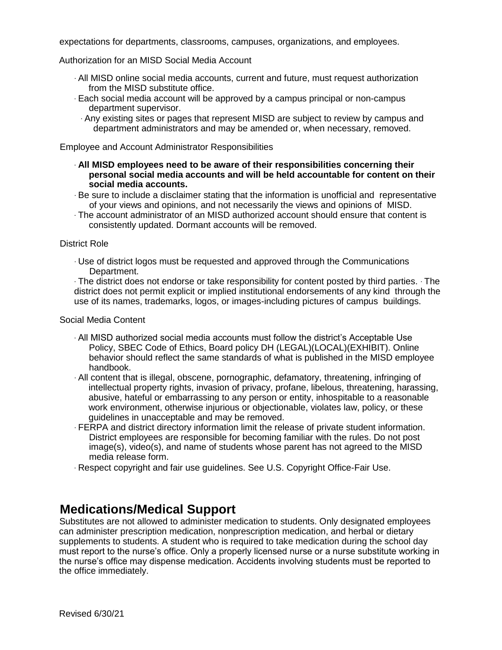expectations for departments, classrooms, campuses, organizations, and employees.

Authorization for an MISD Social Media Account

- ∙ All MISD online social media accounts, current and future, must request authorization from the MISD substitute office.
- ∙ Each social media account will be approved by a campus principal or non-campus department supervisor.
	- ∙ Any existing sites or pages that represent MISD are subject to review by campus and department administrators and may be amended or, when necessary, removed.

Employee and Account Administrator Responsibilities

- ∙ **All MISD employees need to be aware of their responsibilities concerning their personal social media accounts and will be held accountable for content on their social media accounts.**
- ∙ Be sure to include a disclaimer stating that the information is unofficial and representative of your views and opinions, and not necessarily the views and opinions of MISD.
- ∙ The account administrator of an MISD authorized account should ensure that content is consistently updated. Dormant accounts will be removed.

#### District Role

∙ Use of district logos must be requested and approved through the Communications Department.

∙ The district does not endorse or take responsibility for content posted by third parties. ∙ The district does not permit explicit or implied institutional endorsements of any kind through the use of its names, trademarks, logos, or images-including pictures of campus buildings.

#### Social Media Content

- ∙ All MISD authorized social media accounts must follow the district's Acceptable Use Policy, SBEC Code of Ethics, Board policy DH (LEGAL)(LOCAL)(EXHIBIT). Online behavior should reflect the same standards of what is published in the MISD employee handbook.
- ∙ All content that is illegal, obscene, pornographic, defamatory, threatening, infringing of intellectual property rights, invasion of privacy, profane, libelous, threatening, harassing, abusive, hateful or embarrassing to any person or entity, inhospitable to a reasonable work environment, otherwise injurious or objectionable, violates law, policy, or these guidelines in unacceptable and may be removed.
- ∙ FERPA and district directory information limit the release of private student information. District employees are responsible for becoming familiar with the rules. Do not post image(s), video(s), and name of students whose parent has not agreed to the MISD media release form.
- ∙ Respect copyright and fair use guidelines. See U.S. Copyright Office-Fair Use.

## **Medications/Medical Support**

Substitutes are not allowed to administer medication to students. Only designated employees can administer prescription medication, nonprescription medication, and herbal or dietary supplements to students. A student who is required to take medication during the school day must report to the nurse's office. Only a properly licensed nurse or a nurse substitute working in the nurse's office may dispense medication. Accidents involving students must be reported to the office immediately.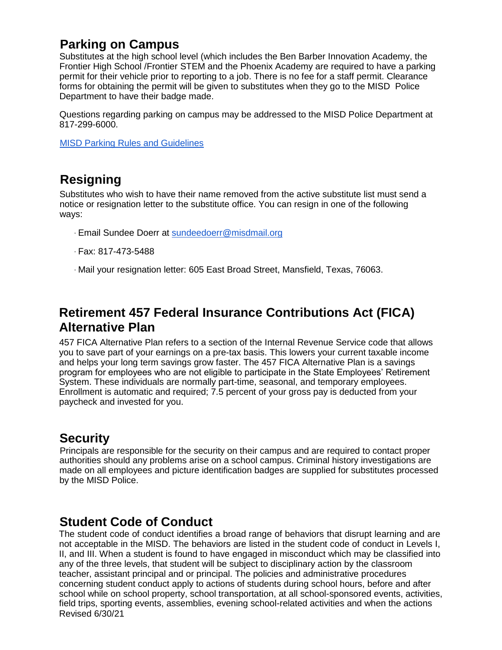# **Parking on Campus**

Substitutes at the high school level (which includes the Ben Barber Innovation Academy, the Frontier High School /Frontier STEM and the Phoenix Academy are required to have a parking permit for their vehicle prior to reporting to a job. There is no fee for a staff permit. Clearance forms for obtaining the permit will be given to substitutes when they go to the MISD Police Department to have their badge made.

Questions regarding parking on campus may be addressed to the MISD Police Department at 817-299-6000.

[MISD Parking Rules and Guidelines](https://www.mansfieldisd.org/uploaded/main/departments/police/assets/parking_rules-guidelines-STAFF.pdf)

## **Resigning**

Substitutes who wish to have their name removed from the active substitute list must send a notice or resignation letter to the substitute office. You can resign in one of the following ways:

- ∙ Email Sundee Doerr at [sundeedoerr@misdmail.org](mailto:sundeedoerr@misdmail.org)
- ∙ Fax: 817-473-5488
- ∙ Mail your resignation letter: 605 East Broad Street, Mansfield, Texas, 76063.

# **Retirement 457 Federal Insurance Contributions Act (FICA) Alternative Plan**

457 FICA Alternative Plan refers to a section of the Internal Revenue Service code that allows you to save part of your earnings on a pre-tax basis. This lowers your current taxable income and helps your long term savings grow faster. The 457 FICA Alternative Plan is a savings program for employees who are not eligible to participate in the State Employees' Retirement System. These individuals are normally part-time, seasonal, and temporary employees. Enrollment is automatic and required; 7.5 percent of your gross pay is deducted from your paycheck and invested for you.

#### **Security**

Principals are responsible for the security on their campus and are required to contact proper authorities should any problems arise on a school campus. Criminal history investigations are made on all employees and picture identification badges are supplied for substitutes processed by the MISD Police.

#### **Student Code of Conduct**

Revised 6/30/21 The student code of conduct identifies a broad range of behaviors that disrupt learning and are not acceptable in the MISD. The behaviors are listed in the student code of conduct in Levels I, II, and III. When a student is found to have engaged in misconduct which may be classified into any of the three levels, that student will be subject to disciplinary action by the classroom teacher, assistant principal and or principal. The policies and administrative procedures concerning student conduct apply to actions of students during school hours, before and after school while on school property, school transportation, at all school-sponsored events, activities, field trips, sporting events, assemblies, evening school-related activities and when the actions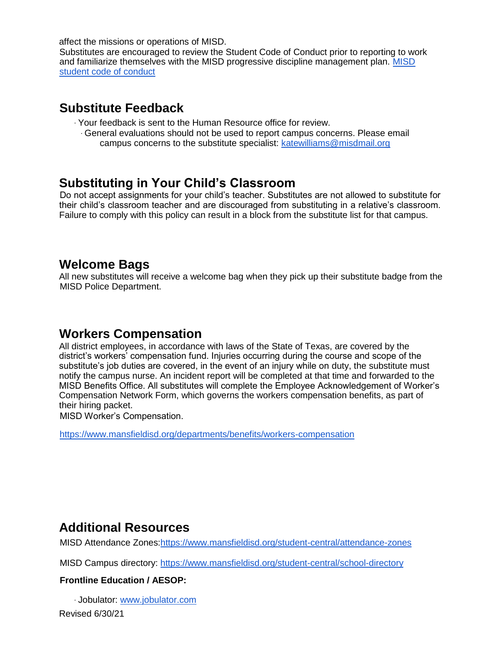affect the missions or operations of MISD.

Substitutes are encouraged to review the Student Code of Conduct prior to reporting to work and familiarize themselves with the MISD progressive discipline management plan. [MISD](http://www.mansfieldisd.org/uploaded/main/departments/student-services/assets/SCOCfinal.pdf)  [student code of conduct](http://www.mansfieldisd.org/uploaded/main/departments/student-services/assets/SCOCfinal.pdf) 

#### **Substitute Feedback**

- ∙ Your feedback is sent to the Human Resource office for review.
	- ∙ General evaluations should not be used to report campus concerns. Please email campus concerns to the substitute specialist: [katewilliams@misdmail.org](mailto:katewilliams@misdmail.org)

#### **Substituting in Your Child's Classroom**

Do not accept assignments for your child's teacher. Substitutes are not allowed to substitute for their child's classroom teacher and are discouraged from substituting in a relative's classroom. Failure to comply with this policy can result in a block from the substitute list for that campus.

#### **Welcome Bags**

All new substitutes will receive a welcome bag when they pick up their substitute badge from the MISD Police Department.

## **Workers Compensation**

All district employees, in accordance with laws of the State of Texas, are covered by the district's workers' compensation fund. Injuries occurring during the course and scope of the substitute's job duties are covered, in the event of an injury while on duty, the substitute must notify the campus nurse. An incident report will be completed at that time and forwarded to the MISD Benefits Office. All substitutes will complete the Employee Acknowledgement of Worker's Compensation Network Form, which governs the workers compensation benefits, as part of their hiring packet.

MISD Worker's Compensation.

<https://www.mansfieldisd.org/departments/benefits/workers-compensation>

## **Additional Resources**

MISD Attendance Zones[:https://www.mansfieldisd.org/student-central/attendance-zones](https://www.mansfieldisd.org/student-central/attendance-zones)

MISD Campus directory:<https://www.mansfieldisd.org/student-central/school-directory>

#### **Frontline Education / AESOP:**

∙ Jobulator: [www.jobulator.com](http://www.jobulator.com/)